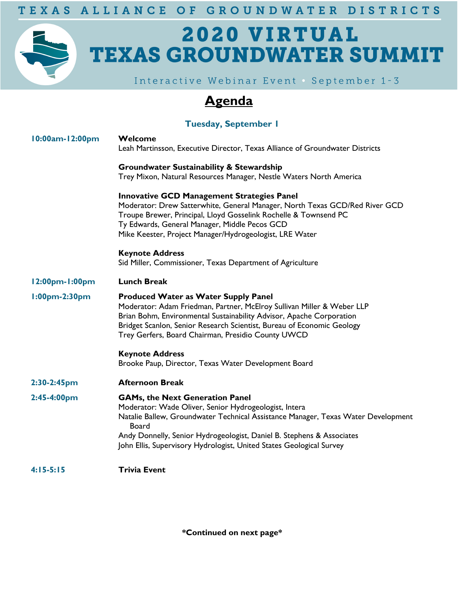TEXAS ALLIANCE OF GROUNDWATER DISTRICTS

# 2020 VIRTUAL **TEXAS GROUNDWATER SUMMIT**

Interactive Webinar Event . September 1-3

### **Agenda**

#### **Tuesday, September 1**

| 10:00am-12:00pm | Welcome<br>Leah Martinsson, Executive Director, Texas Alliance of Groundwater Districts                                                                                                                                                                                                                                                        |
|-----------------|------------------------------------------------------------------------------------------------------------------------------------------------------------------------------------------------------------------------------------------------------------------------------------------------------------------------------------------------|
|                 | <b>Groundwater Sustainability &amp; Stewardship</b><br>Trey Mixon, Natural Resources Manager, Nestle Waters North America                                                                                                                                                                                                                      |
|                 | <b>Innovative GCD Management Strategies Panel</b><br>Moderator: Drew Satterwhite, General Manager, North Texas GCD/Red River GCD<br>Troupe Brewer, Principal, Lloyd Gosselink Rochelle & Townsend PC<br>Ty Edwards, General Manager, Middle Pecos GCD<br>Mike Keester, Project Manager/Hydrogeologist, LRE Water                               |
|                 | <b>Keynote Address</b><br>Sid Miller, Commissioner, Texas Department of Agriculture                                                                                                                                                                                                                                                            |
| 12:00pm-1:00pm  | <b>Lunch Break</b>                                                                                                                                                                                                                                                                                                                             |
| 1:00pm-2:30pm   | <b>Produced Water as Water Supply Panel</b><br>Moderator: Adam Friedman, Partner, McElroy Sullivan Miller & Weber LLP<br>Brian Bohm, Environmental Sustainability Advisor, Apache Corporation<br>Bridget Scanlon, Senior Research Scientist, Bureau of Economic Geology<br>Trey Gerfers, Board Chairman, Presidio County UWCD                  |
|                 | <b>Keynote Address</b><br>Brooke Paup, Director, Texas Water Development Board                                                                                                                                                                                                                                                                 |
| 2:30-2:45pm     | <b>Afternoon Break</b>                                                                                                                                                                                                                                                                                                                         |
| $2:45-4:00pm$   | <b>GAMs, the Next Generation Panel</b><br>Moderator: Wade Oliver, Senior Hydrogeologist, Intera<br>Natalie Ballew, Groundwater Technical Assistance Manager, Texas Water Development<br>Board<br>Andy Donnelly, Senior Hydrogeologist, Daniel B. Stephens & Associates<br>John Ellis, Supervisory Hydrologist, United States Geological Survey |
| $4:15-5:15$     | <b>Trivia Event</b>                                                                                                                                                                                                                                                                                                                            |
|                 |                                                                                                                                                                                                                                                                                                                                                |

**\*Continued on next page\***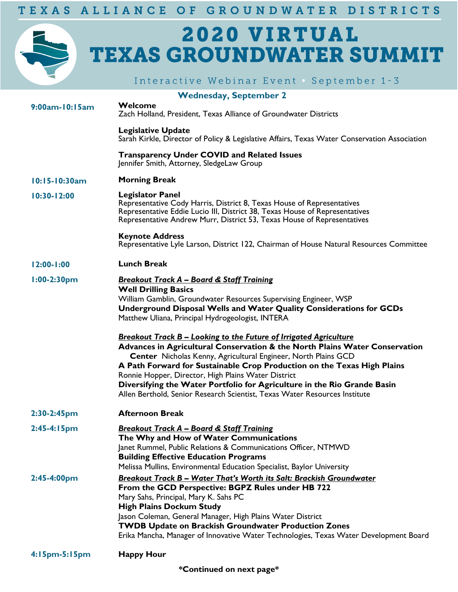## 2020 VIRTUAL **TEXAS GROUNDWATER SUMMIT**

|                | Interactive Webinar Event September 1-3                                                                                                                                                                                                                                                                                                                                                                                                                                                                                                                                                                                                                                                                                                                                                                      |
|----------------|--------------------------------------------------------------------------------------------------------------------------------------------------------------------------------------------------------------------------------------------------------------------------------------------------------------------------------------------------------------------------------------------------------------------------------------------------------------------------------------------------------------------------------------------------------------------------------------------------------------------------------------------------------------------------------------------------------------------------------------------------------------------------------------------------------------|
|                | <b>Wednesday, September 2</b>                                                                                                                                                                                                                                                                                                                                                                                                                                                                                                                                                                                                                                                                                                                                                                                |
| 9:00am-10:15am | Welcome<br>Zach Holland, President, Texas Alliance of Groundwater Districts                                                                                                                                                                                                                                                                                                                                                                                                                                                                                                                                                                                                                                                                                                                                  |
|                | <b>Legislative Update</b><br>Sarah Kirkle, Director of Policy & Legislative Affairs, Texas Water Conservation Association                                                                                                                                                                                                                                                                                                                                                                                                                                                                                                                                                                                                                                                                                    |
|                | <b>Transparency Under COVID and Related Issues</b><br>Jennifer Smith, Attorney, SledgeLaw Group                                                                                                                                                                                                                                                                                                                                                                                                                                                                                                                                                                                                                                                                                                              |
| 10:15-10:30am  | <b>Morning Break</b>                                                                                                                                                                                                                                                                                                                                                                                                                                                                                                                                                                                                                                                                                                                                                                                         |
| 10:30-12:00    | <b>Legislator Panel</b><br>Representative Cody Harris, District 8, Texas House of Representatives<br>Representative Eddie Lucio III, District 38, Texas House of Representatives<br>Representative Andrew Murr, District 53, Texas House of Representatives                                                                                                                                                                                                                                                                                                                                                                                                                                                                                                                                                  |
|                | <b>Keynote Address</b><br>Representative Lyle Larson, District 122, Chairman of House Natural Resources Committee                                                                                                                                                                                                                                                                                                                                                                                                                                                                                                                                                                                                                                                                                            |
| $12:00 - 1:00$ | <b>Lunch Break</b>                                                                                                                                                                                                                                                                                                                                                                                                                                                                                                                                                                                                                                                                                                                                                                                           |
| $1:00-2:30$ pm | <b>Breakout Track A - Board &amp; Staff Training</b><br><b>Well Drilling Basics</b><br>William Gamblin, Groundwater Resources Supervising Engineer, WSP<br>Underground Disposal Wells and Water Quality Considerations for GCDs<br>Matthew Uliana, Principal Hydrogeologist, INTERA<br><b>Breakout Track B - Looking to the Future of Irrigated Agriculture</b><br>Advances in Agricultural Conservation & the North Plains Water Conservation<br>Center Nicholas Kenny, Agricultural Engineer, North Plains GCD<br>A Path Forward for Sustainable Crop Production on the Texas High Plains<br>Ronnie Hopper, Director, High Plains Water District<br>Diversifying the Water Portfolio for Agriculture in the Rio Grande Basin<br>Allen Berthold, Senior Research Scientist, Texas Water Resources Institute |
| $2:30-2:45$ pm | <b>Afternoon Break</b>                                                                                                                                                                                                                                                                                                                                                                                                                                                                                                                                                                                                                                                                                                                                                                                       |
| $2:45-4:15pm$  | <b>Breakout Track A - Board &amp; Staff Training</b><br>The Why and How of Water Communications<br>Janet Rummel, Public Relations & Communications Officer, NTMWD<br><b>Building Effective Education Programs</b><br>Melissa Mullins, Environmental Education Specialist, Baylor University                                                                                                                                                                                                                                                                                                                                                                                                                                                                                                                  |
| 2:45-4:00pm    | <b>Breakout Track B - Water That's Worth its Salt: Brackish Groundwater</b><br>From the GCD Perspective: BGPZ Rules under HB 722<br>Mary Sahs, Principal, Mary K. Sahs PC<br><b>High Plains Dockum Study</b><br>Jason Coleman, General Manager, High Plains Water District<br><b>TWDB Update on Brackish Groundwater Production Zones</b><br>Erika Mancha, Manager of Innovative Water Technologies, Texas Water Development Board                                                                                                                                                                                                                                                                                                                                                                           |
| 4:15pm-5:15pm  | <b>Happy Hour</b>                                                                                                                                                                                                                                                                                                                                                                                                                                                                                                                                                                                                                                                                                                                                                                                            |

**\*Continued on next page\***